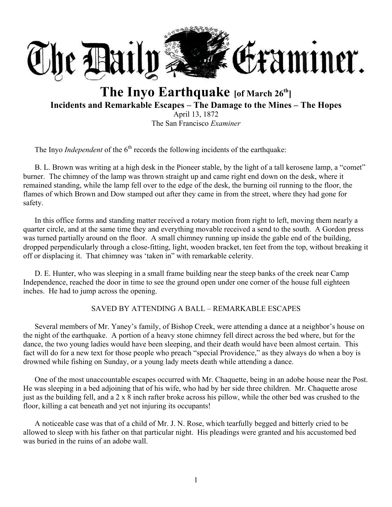

# **The Inyo Earthquake [of March 26th] Incidents and Remarkable Escapes – The Damage to the Mines – The Hopes** April 13, 1872

The San Francisco *Examiner*

The Inyo *Independent* of the  $6<sup>th</sup>$  records the following incidents of the earthquake:

B. L. Brown was writing at a high desk in the Pioneer stable, by the light of a tall kerosene lamp, a "comet" burner. The chimney of the lamp was thrown straight up and came right end down on the desk, where it remained standing, while the lamp fell over to the edge of the desk, the burning oil running to the floor, the flames of which Brown and Dow stamped out after they came in from the street, where they had gone for safety.

In this office forms and standing matter received a rotary motion from right to left, moving them nearly a quarter circle, and at the same time they and everything movable received a send to the south. A Gordon press was turned partially around on the floor. A small chimney running up inside the gable end of the building, dropped perpendicularly through a close-fitting, light, wooden bracket, ten feet from the top, without breaking it off or displacing it. That chimney was 'taken in" with remarkable celerity.

D. E. Hunter, who was sleeping in a small frame building near the steep banks of the creek near Camp Independence, reached the door in time to see the ground open under one corner of the house full eighteen inches. He had to jump across the opening.

### SAVED BY ATTENDING A BALL – REMARKABLE ESCAPES

Several members of Mr. Yaney's family, of Bishop Creek, were attending a dance at a neighbor's house on the night of the earthquake. A portion of a heavy stone chimney fell direct across the bed where, but for the dance, the two young ladies would have been sleeping, and their death would have been almost certain. This fact will do for a new text for those people who preach "special Providence," as they always do when a boy is drowned while fishing on Sunday, or a young lady meets death while attending a dance.

One of the most unaccountable escapes occurred with Mr. Chaquette, being in an adobe house near the Post. He was sleeping in a bed adjoining that of his wife, who had by her side three children. Mr. Chaquette arose just as the building fell, and a 2 x 8 inch rafter broke across his pillow, while the other bed was crushed to the floor, killing a cat beneath and yet not injuring its occupants!

A noticeable case was that of a child of Mr. J. N. Rose, which tearfully begged and bitterly cried to be allowed to sleep with his father on that particular night. His pleadings were granted and his accustomed bed was buried in the ruins of an adobe wall.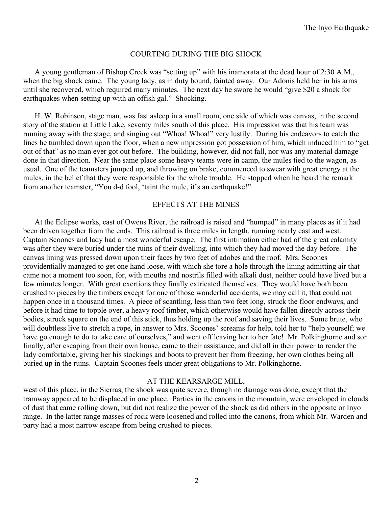#### COURTING DURING THE BIG SHOCK

A young gentleman of Bishop Creek was "setting up" with his inamorata at the dead hour of 2:30 A.M., when the big shock came. The young lady, as in duty bound, fainted away. Our Adonis held her in his arms until she recovered, which required many minutes. The next day he swore he would "give \$20 a shock for earthquakes when setting up with an offish gal." Shocking.

H. W. Robinson, stage man, was fast asleep in a small room, one side of which was canvas, in the second story of the station at Little Lake, seventy miles south of this place. His impression was that his team was running away with the stage, and singing out "Whoa! Whoa!" very lustily. During his endeavors to catch the lines he tumbled down upon the floor, when a new impression got possession of him, which induced him to "get out of that" as no man ever got out before. The building, however, did not fall, nor was any material damage done in that direction. Near the same place some heavy teams were in camp, the mules tied to the wagon, as usual. One of the teamsters jumped up, and throwing on brake, commenced to swear with great energy at the mules, in the belief that they were responsible for the whole trouble. He stopped when he heard the remark from another teamster, "You d-d fool, 'taint the mule, it's an earthquake!"

#### EFFECTS AT THE MINES

At the Eclipse works, east of Owens River, the railroad is raised and "humped" in many places as if it had been driven together from the ends. This railroad is three miles in length, running nearly east and west. Captain Scoones and lady had a most wonderful escape. The first intimation either had of the great calamity was after they were buried under the ruins of their dwelling, into which they had moved the day before. The canvas lining was pressed down upon their faces by two feet of adobes and the roof. Mrs. Scoones providentially managed to get one hand loose, with which she tore a hole through the lining admitting air that came not a moment too soon, for, with mouths and nostrils filled with alkali dust, neither could have lived but a few minutes longer. With great exertions they finally extricated themselves. They would have both been crushed to pieces by the timbers except for one of those wonderful accidents, we may call it, that could not happen once in a thousand times. A piece of scantling, less than two feet long, struck the floor endways, and before it had time to topple over, a heavy roof timber, which otherwise would have fallen directly across their bodies, struck square on the end of this stick, thus holding up the roof and saving their lives. Some brute, who will doubtless live to stretch a rope, in answer to Mrs. Scoones' screams for help, told her to "help yourself; we have go enough to do to take care of ourselves," and went off leaving her to her fate! Mr. Polkinghorne and son finally, after escaping from their own house, came to their assistance, and did all in their power to render the lady comfortable, giving her his stockings and boots to prevent her from freezing, her own clothes being all buried up in the ruins. Captain Scoones feels under great obligations to Mr. Polkinghorne.

#### AT THE KEARSARGE MILL,

west of this place, in the Sierras, the shock was quite severe, though no damage was done, except that the tramway appeared to be displaced in one place. Parties in the canons in the mountain, were enveloped in clouds of dust that came rolling down, but did not realize the power of the shock as did others in the opposite or Inyo range. In the latter range masses of rock were loosened and rolled into the canons, from which Mr. Warden and party had a most narrow escape from being crushed to pieces.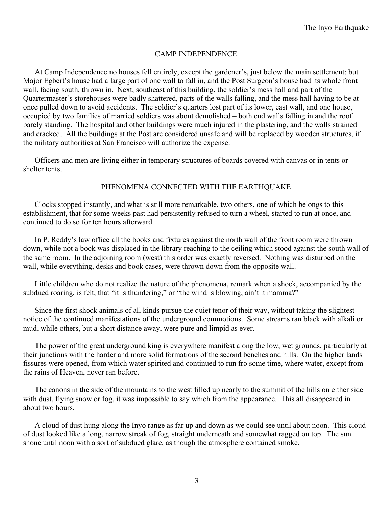#### CAMP INDEPENDENCE

At Camp Independence no houses fell entirely, except the gardener's, just below the main settlement; but Major Egbert's house had a large part of one wall to fall in, and the Post Surgeon's house had its whole front wall, facing south, thrown in. Next, southeast of this building, the soldier's mess hall and part of the Quartermaster's storehouses were badly shattered, parts of the walls falling, and the mess hall having to be at once pulled down to avoid accidents. The soldier's quarters lost part of its lower, east wall, and one house, occupied by two families of married soldiers was about demolished – both end walls falling in and the roof barely standing. The hospital and other buildings were much injured in the plastering, and the walls strained and cracked. All the buildings at the Post are considered unsafe and will be replaced by wooden structures, if the military authorities at San Francisco will authorize the expense.

Officers and men are living either in temporary structures of boards covered with canvas or in tents or shelter tents.

#### PHENOMENA CONNECTED WITH THE EARTHQUAKE

Clocks stopped instantly, and what is still more remarkable, two others, one of which belongs to this establishment, that for some weeks past had persistently refused to turn a wheel, started to run at once, and continued to do so for ten hours afterward.

In P. Reddy's law office all the books and fixtures against the north wall of the front room were thrown down, while not a book was displaced in the library reaching to the ceiling which stood against the south wall of the same room. In the adjoining room (west) this order was exactly reversed. Nothing was disturbed on the wall, while everything, desks and book cases, were thrown down from the opposite wall.

Little children who do not realize the nature of the phenomena, remark when a shock, accompanied by the subdued roaring, is felt, that "it is thundering," or "the wind is blowing, ain't it mamma?"

Since the first shock animals of all kinds pursue the quiet tenor of their way, without taking the slightest notice of the continued manifestations of the underground commotions. Some streams ran black with alkali or mud, while others, but a short distance away, were pure and limpid as ever.

The power of the great underground king is everywhere manifest along the low, wet grounds, particularly at their junctions with the harder and more solid formations of the second benches and hills. On the higher lands fissures were opened, from which water spirited and continued to run fro some time, where water, except from the rains of Heaven, never ran before.

The canons in the side of the mountains to the west filled up nearly to the summit of the hills on either side with dust, flying snow or fog, it was impossible to say which from the appearance. This all disappeared in about two hours.

A cloud of dust hung along the Inyo range as far up and down as we could see until about noon. This cloud of dust looked like a long, narrow streak of fog, straight underneath and somewhat ragged on top. The sun shone until noon with a sort of subdued glare, as though the atmosphere contained smoke.